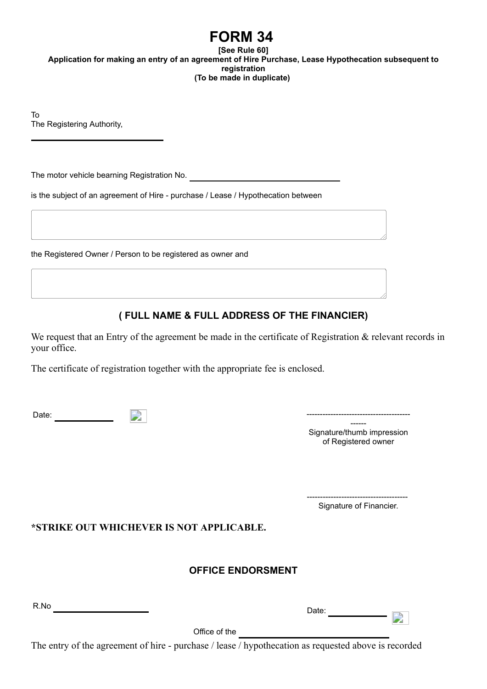## **FORM 34**

**[See Rule 60] Application for making an entry of an agreement of Hire Purchase, Lease Hypothecation subsequent to registration (To be made in duplicate)** 

To The Registering Authority,

The motor vehicle bearning Registration No.

is the subject of an agreement of Hire - purchase / Lease / Hypothecation between

the Registered Owner / Person to be registered as owner and

## **( FULL NAME & FULL ADDRESS OF THE FINANCIER)**

We request that an Entry of the agreement be made in the certificate of Registration & relevant records in your office.

The certificate of registration together with the appropriate fee is enclosed.

| -<br>Dale |  |  |
|-----------|--|--|
|-----------|--|--|

------ Signature/thumb impression of Registered owner

-------------------------------------- Signature of Financier.

- P

**\*STRIKE OUT WHICHEVER IS NOT APPLICABLE.**

## **OFFICE ENDORSMENT**

R.No Date:

Office of the

The entry of the agreement of hire - purchase / lease / hypothecation as requested above is recorded